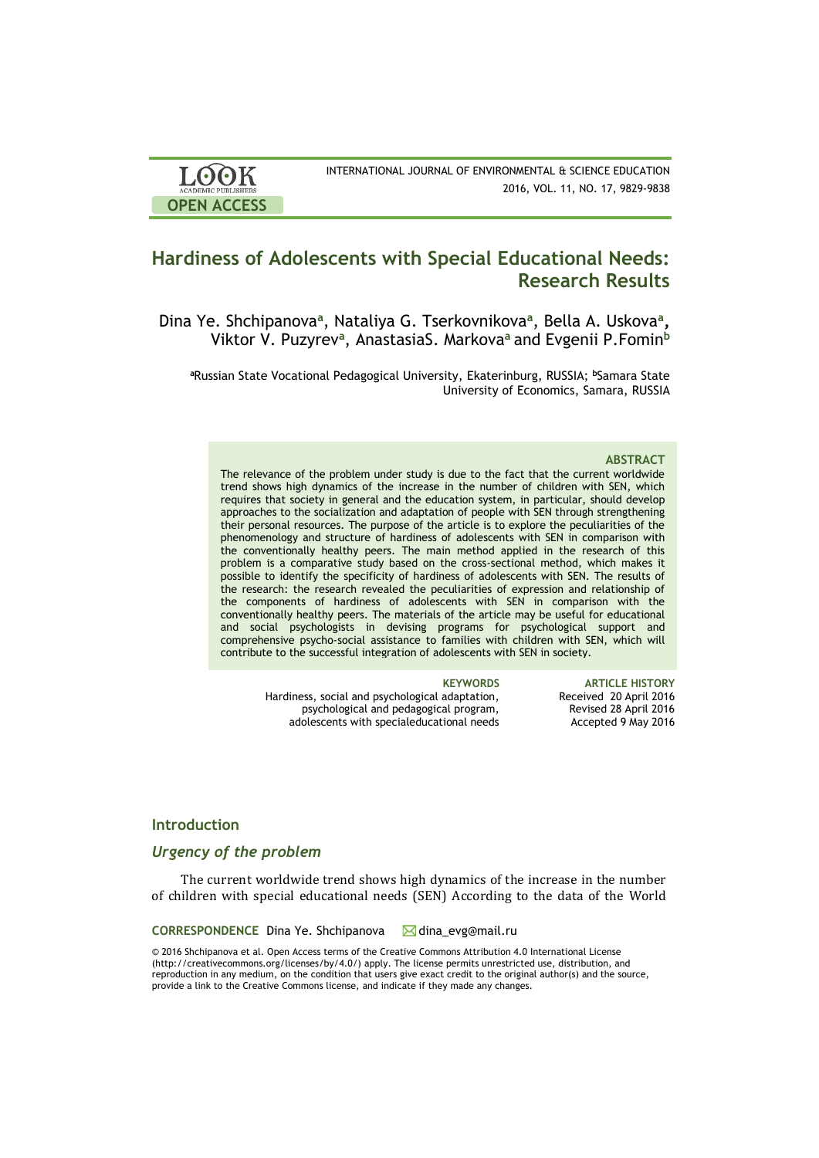

INTERNATIONAL JOURNAL OF ENVIRONMENTAL & SCIENCE EDUCATION 2016, VOL. 11, NO. 17, 9829-9838

# **Hardiness of Adolescents with Special Educational Needs: Research Results**

Dina Ye. Shchipanova<sup>a</sup>, Nataliya G. Tserkovnikova<sup>a</sup>, Bella A. Uskova<sup>a</sup>, Viktor V. Puzyrev**<sup>a</sup>** , AnastasiaS. Markova**<sup>a</sup>** and Evgenii P.Fomin**<sup>b</sup>**

**<sup>a</sup>**Russian State Vocational Pedagogical University, Ekaterinburg, RUSSIA; **<sup>b</sup>**Samara State University of Economics, Samara, RUSSIA

### **ABSTRACT**

The relevance of the problem under study is due to the fact that the current worldwide trend shows high dynamics of the increase in the number of children with SEN, which requires that society in general and the education system, in particular, should develop approaches to the socialization and adaptation of people with SEN through strengthening their personal resources. The purpose of the article is to explore the peculiarities of the phenomenology and structure of hardiness of adolescents with SEN in comparison with the conventionally healthy peers. The main method applied in the research of this problem is a comparative study based on the cross-sectional method, which makes it possible to identify the specificity of hardiness of adolescents with SEN. The results of the research: the research revealed the peculiarities of expression and relationship of the components of hardiness of adolescents with SEN in comparison with the conventionally healthy peers. The materials of the article may be useful for educational and social psychologists in devising programs for psychological support and comprehensive psycho-social assistance to families with children with SEN, which will contribute to the successful integration of adolescents with SEN in society.

Hardiness, social and psychological adaptation, psychological and pedagogical program, adolescents with specialeducational needs

**KEYWORDS ARTICLE HISTORY** Received 20 April 2016 Revised 28 April 2016 Accepted 9 May 2016

## **Introduction**

## *Urgency of the problem*

The current worldwide trend shows high dynamics of the increase in the number of children with special educational needs (SEN) According to the data of the World

**CORRESPONDENCE** Dina Ye. Shchipanova **Manual**.ru

© 2016 Shchipanova et al. Open Access terms of the Creative Commons Attribution 4.0 International License (http://creativecommons.org/licenses/by/4.0/) apply. The license permits unrestricted use, distribution, and reproduction in any medium, on the condition that users give exact credit to the original author(s) and the source, provide a link to the Creative Commons license, and indicate if they made any changes.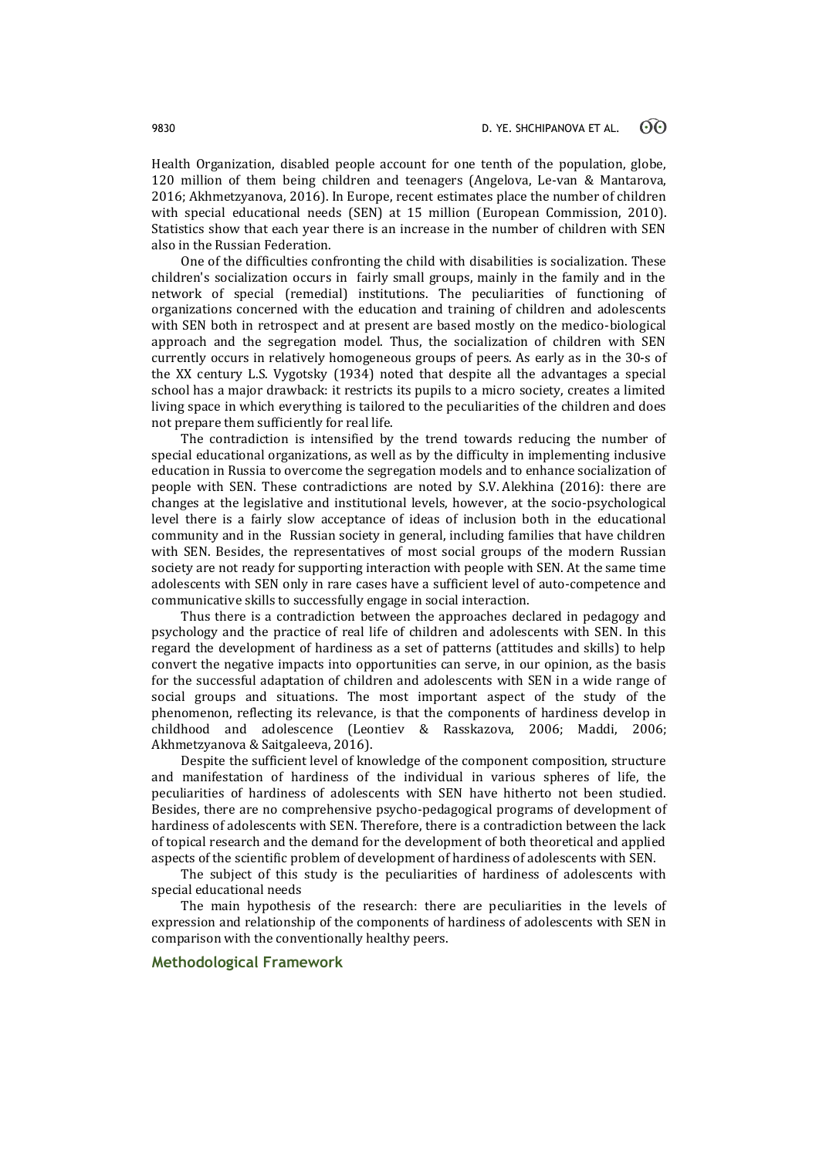Health Organization, disabled people account for one tenth of the population, globe, 120 million of them being children and teenagers (Angelova, Le-van & Mantarova, 2016; Akhmetzyanova, 2016). In Europe, recent estimates place the number of children with special educational needs (SEN) at 15 million (European Commission, 2010). Statistics show that each year there is an increase in the number of children with SEN also in the Russian Federation.

One of the difficulties confronting the child with disabilities is socialization. These children's socialization occurs in fairly small groups, mainly in the family and in the network of special (remedial) institutions. The peculiarities of functioning of organizations concerned with the education and training of children and adolescents with SEN both in retrospect and at present are based mostly on the medico-biological approach and the segregation model. Thus, the socialization of children with SEN currently occurs in relatively homogeneous groups of peers. As early as in the 30-s of the XX century L.S. Vygotsky (1934) noted that despite all the advantages a special school has a major drawback: it restricts its pupils to a micro society, creates a limited living space in which everything is tailored to the peculiarities of the children and does not prepare them sufficiently for real life.

The contradiction is intensified by the trend towards reducing the number of special educational organizations, as well as by the difficulty in implementing inclusive education in Russia to overcome the segregation models and to enhance socialization of people with SEN. These contradictions are noted by S.V. Alekhina (2016): there are changes at the legislative and institutional levels, however, at the socio-psychological level there is a fairly slow acceptance of ideas of inclusion both in the educational community and in the Russian society in general, including families that have children with SEN. Besides, the representatives of most social groups of the modern Russian society are not ready for supporting interaction with people with SEN. At the same time adolescents with SEN only in rare cases have a sufficient level of auto-competence and communicative skills to successfully engage in social interaction.

Thus there is a contradiction between the approaches declared in pedagogy and psychology and the practice of real life of children and adolescents with SEN. In this regard the development of hardiness as a set of patterns (attitudes and skills) to help convert the negative impacts into opportunities can serve, in our opinion, as the basis for the successful adaptation of children and adolescents with SEN in a wide range of social groups and situations. The most important aspect of the study of the phenomenon, reflecting its relevance, is that the components of hardiness develop in childhood and adolescence (Leontiev & Rasskazova, 2006; Maddi, 2006; Akhmetzyanova & Saitgaleeva, 2016).

Despite the sufficient level of knowledge of the component composition, structure and manifestation of hardiness of the individual in various spheres of life, the peculiarities of hardiness of adolescents with SEN have hitherto not been studied. Besides, there are no comprehensive psycho-pedagogical programs of development of hardiness of adolescents with SEN. Therefore, there is a contradiction between the lack of topical research and the demand for the development of both theoretical and applied aspects of the scientific problem of development of hardiness of adolescents with SEN.

The subject of this study is the peculiarities of hardiness of adolescents with special educational needs

The main hypothesis of the research: there are peculiarities in the levels of expression and relationship of the components of hardiness of adolescents with SEN in comparison with the conventionally healthy peers.

## **Methodological Framework**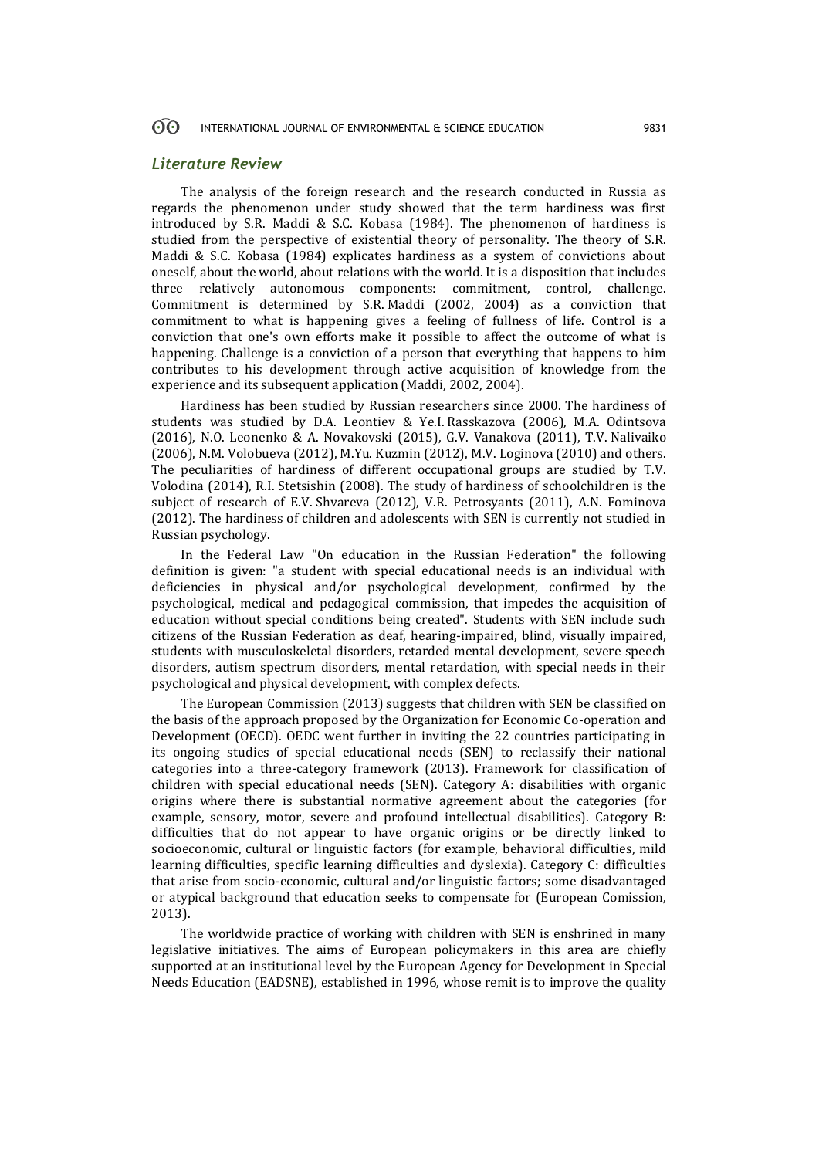#### 60 INTERNATIONAL JOURNAL OF ENVIRONMENTAL & SCIENCE EDUCATION 9831

### *Literature Review*

The analysis of the foreign research and the research conducted in Russia as regards the phenomenon under study showed that the term hardiness was first introduced by S.R. Maddi & S.C. Kobasa (1984). The phenomenon of hardiness is studied from the perspective of existential theory of personality. The theory of S.R. Maddi & S.C. Kobasa (1984) explicates hardiness as a system of convictions about oneself, about the world, about relations with the world. It is a disposition that includes three relatively autonomous components: commitment, control, challenge. Commitment is determined by S.R. Maddi (2002, 2004) as a conviction that commitment to what is happening gives a feeling of fullness of life. Control is a conviction that one's own efforts make it possible to affect the outcome of what is happening. Challenge is a conviction of a person that everything that happens to him contributes to his development through active acquisition of knowledge from the experience and its subsequent application (Maddi, 2002, 2004).

Hardiness has been studied by Russian researchers since 2000. The hardiness of students was studied by D.A. Leontiev & Ye.I. Rasskazova (2006), M.A. Odintsova (2016), N.O. Leonenko & А. Nоvаkоvski (2015), G.V. Vanakova (2011), T.V. Nalivaiko (2006), N.M. Volobueva (2012), M.Yu. Kuzmin (2012), M.V. Loginova (2010) and others. The peculiarities of hardiness of different occupational groups are studied by T.V. Volodina (2014), R.I. Stetsishin (2008). The study of hardiness of schoolchildren is the subject of research of E.V. Shvareva (2012), V.R. Petrosyants (2011), A.N. Fominova (2012). The hardiness of children and adolescents with SEN is currently not studied in Russian psychology.

In the Federal Law "On education in the Russian Federation" the following definition is given: "a student with special educational needs is an individual with deficiencies in physical and/or psychological development, confirmed by the psychological, medical and pedagogical commission, that impedes the acquisition of education without special conditions being created". Students with SEN include such citizens of the Russian Federation as deaf, hearing-impaired, blind, visually impaired, students with musculoskeletal disorders, retarded mental development, severe speech disorders, autism spectrum disorders, mental retardation, with special needs in their psychological and physical development, with complex defects.

The European Commission (2013) suggests that children with SEN be classified on the basis of the approach proposed by the Organization for Economic Co-operation and Development (OECD). OEDC went further in inviting the 22 countries participating in its ongoing studies of special educational needs (SEN) to reclassify their national categories into a three-category framework (2013). Framework for classification of children with special educational needs (SEN). Category A: disabilities with organic origins where there is substantial normative agreement about the categories (for example, sensory, motor, severe and profound intellectual disabilities). Category B: difficulties that do not appear to have organic origins or be directly linked to socioeconomic, cultural or linguistic factors (for example, behavioral difficulties, mild learning difficulties, specific learning difficulties and dyslexia). Category C: difficulties that arise from socio-economic, cultural and/or linguistic factors; some disadvantaged or atypical background that education seeks to compensate for (European Comission, 2013).

The worldwide practice of working with children with SEN is enshrined in many legislative initiatives. The aims of European policymakers in this area are chiefly supported at an institutional level by the European Agency for Development in Special Needs Education (EADSNE), established in 1996, whose remit is to improve the quality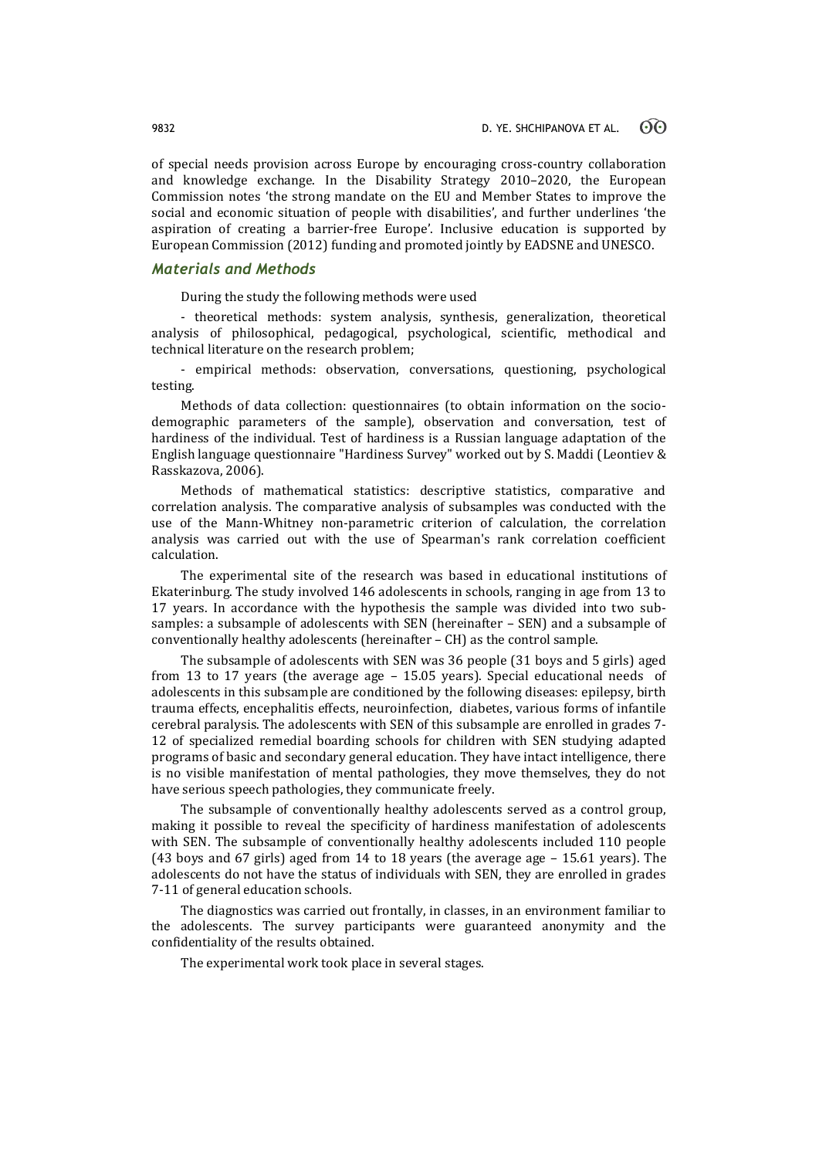of special needs provision across Europe by encouraging cross-country collaboration and knowledge exchange. In the Disability Strategy 2010–2020, the European Commission notes 'the strong mandate on the EU and Member States to improve the social and economic situation of people with disabilities', and further underlines 'the aspiration of creating a barrier-free Europe'. Inclusive education is supported by European Commission (2012) funding and promoted jointly by EADSNE and UNESCO.

## *Materials and Methods*

During the study the following methods were used

- theoretical methods: system analysis, synthesis, generalization, theoretical analysis of philosophical, pedagogical, psychological, scientific, methodical and technical literature on the research problem;

- empirical methods: observation, conversations, questioning, psychological testing.

Methods of data collection: questionnaires (to obtain information on the sociodemographic parameters of the sample), observation and conversation, test of hardiness of the individual. Test of hardiness is a Russian language adaptation of the English language questionnaire "Hardiness Survey" worked out by S. Maddi (Leontiev & Rasskazova, 2006).

Methods of mathematical statistics: descriptive statistics, comparative and correlation analysis. The comparative analysis of subsamples was conducted with the use of the Mann-Whitney non-parametric criterion of calculation, the correlation analysis was carried out with the use of Spearman's rank correlation coefficient calculation.

The experimental site of the research was based in educational institutions of Ekaterinburg. The study involved 146 adolescents in schools, ranging in age from 13 to 17 years. In accordance with the hypothesis the sample was divided into two subsamples: a subsample of adolescents with SEN (hereinafter – SEN) and a subsample of conventionally healthy adolescents (hereinafter – CH) as the control sample.

The subsample of adolescents with SEN was 36 people (31 boys and 5 girls) aged from 13 to 17 years (the average age – 15.05 years). Special educational needs of adolescents in this subsample are conditioned by the following diseases: epilepsy, birth trauma effects, encephalitis effects, neuroinfection, diabetes, various forms of infantile cerebral paralysis. The adolescents with SEN of this subsample are enrolled in grades 7- 12 of specialized remedial boarding schools for children with SEN studying adapted programs of basic and secondary general education. They have intact intelligence, there is no visible manifestation of mental pathologies, they move themselves, they do not have serious speech pathologies, they communicate freely.

The subsample of conventionally healthy adolescents served as a control group, making it possible to reveal the specificity of hardiness manifestation of adolescents with SEN. The subsample of conventionally healthy adolescents included 110 people (43 boys and 67 girls) aged from 14 to 18 years (the average age – 15.61 years). The adolescents do not have the status of individuals with SEN, they are enrolled in grades 7-11 of general education schools.

The diagnostics was carried out frontally, in classes, in an environment familiar to the adolescents. The survey participants were guaranteed anonymity and the confidentiality of the results obtained.

The experimental work took place in several stages.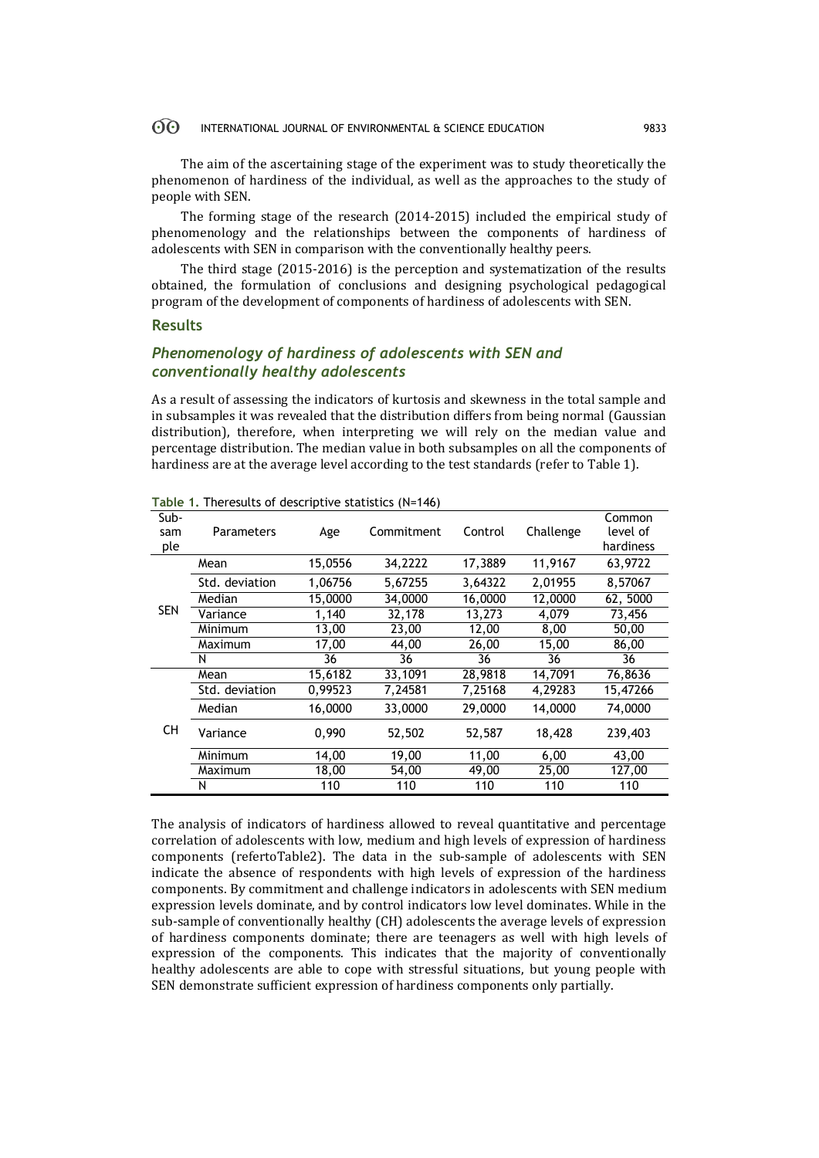#### $60^{\circ}$ INTERNATIONAL JOURNAL OF ENVIRONMENTAL & SCIENCE EDUCATION 9833

The aim of the ascertaining stage of the experiment was to study theoretically the phenomenon of hardiness of the individual, as well as the approaches to the study of people with SEN.

The forming stage of the research (2014-2015) included the empirical study of phenomenology and the relationships between the components of hardiness of adolescents with SEN in comparison with the conventionally healthy peers.

The third stage (2015-2016) is the perception and systematization of the results obtained, the formulation of conclusions and designing psychological pedagogical program of the development of components of hardiness of adolescents with SEN.

## **Results**

## *Phenomenology of hardiness of adolescents with SEN and conventionally healthy adolescents*

As a result of assessing the indicators of kurtosis and skewness in the total sample and in subsamples it was revealed that the distribution differs from being normal (Gaussian distribution), therefore, when interpreting we will rely on the median value and percentage distribution. The median value in both subsamples on all the components of hardiness are at the average level according to the test standards (refer to Table 1).

|                    | $1800$ $11000$ $11000$ $11000$ $11000$ $11000$ |         |            |         |           |                                 |
|--------------------|------------------------------------------------|---------|------------|---------|-----------|---------------------------------|
| Sub-<br>sam<br>ple | Parameters                                     | Age     | Commitment | Control | Challenge | Common<br>level of<br>hardiness |
|                    | Mean                                           | 15,0556 | 34,2222    | 17,3889 | 11,9167   | 63,9722                         |
|                    | Std. deviation                                 | 1,06756 | 5,67255    | 3,64322 | 2,01955   | 8,57067                         |
|                    | Median                                         | 15,0000 | 34,0000    | 16,0000 | 12,0000   | 62, 5000                        |
| <b>SEN</b>         | Variance                                       | 1,140   | 32.178     | 13,273  | 4.079     | 73,456                          |
|                    | Minimum                                        | 13,00   | 23,00      | 12.00   | 8,00      | 50,00                           |
|                    | Maximum                                        | 17,00   | 44,00      | 26,00   | 15,00     | 86,00                           |
|                    | N                                              | 36      | 36         | 36      | 36        | 36                              |
|                    | Mean                                           | 15,6182 | 33,1091    | 28,9818 | 14,7091   | 76,8636                         |
| <b>CH</b>          | Std. deviation                                 | 0,99523 | 7,24581    | 7,25168 | 4,29283   | 15,47266                        |
|                    | Median                                         | 16,0000 | 33,0000    | 29,0000 | 14,0000   | 74,0000                         |
|                    | Variance                                       | 0,990   | 52,502     | 52,587  | 18,428    | 239,403                         |
|                    | Minimum                                        | 14,00   | 19,00      | 11,00   | 6,00      | 43,00                           |
|                    | Maximum                                        | 18,00   | 54,00      | 49,00   | 25,00     | 127,00                          |
|                    | N                                              | 110     | 110        | 110     | 110       | 110                             |

**Table 1.** Theresults of descriptive statistics (N=146)

The analysis of indicators of hardiness allowed to reveal quantitative and percentage correlation of adolescents with low, medium and high levels of expression of hardiness components (refertoTable2). The data in the sub-sample of adolescents with SEN indicate the absence of respondents with high levels of expression of the hardiness components. By commitment and challenge indicators in adolescents with SEN medium expression levels dominate, and by control indicators low level dominates. While in the sub-sample of conventionally healthy (CH) adolescents the average levels of expression of hardiness components dominate; there are teenagers as well with high levels of expression of the components. This indicates that the majority of conventionally healthy adolescents are able to cope with stressful situations, but young people with SEN demonstrate sufficient expression of hardiness components only partially.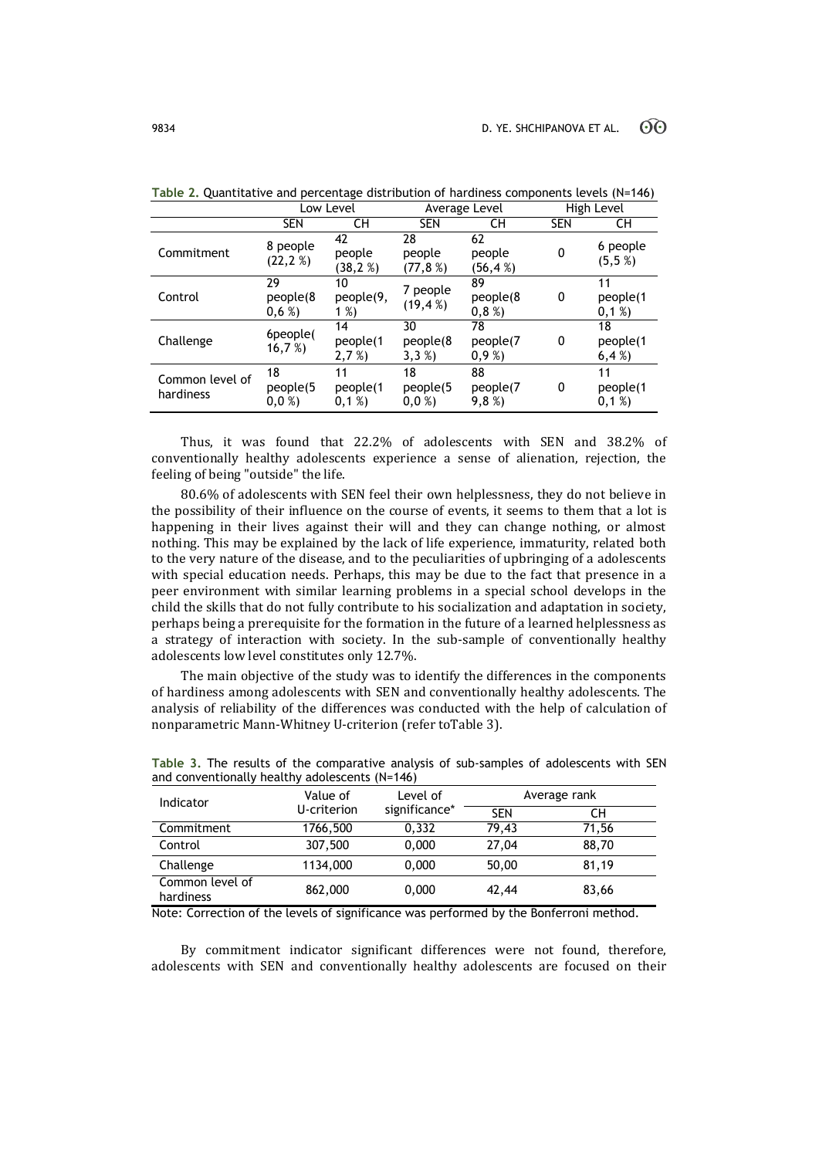|                              | Low Level              |                            | Average Level            |                          | High Level |                        |
|------------------------------|------------------------|----------------------------|--------------------------|--------------------------|------------|------------------------|
|                              | <b>SEN</b>             | CН                         | <b>SEN</b>               | CН                       | <b>SEN</b> | CН                     |
| Commitment                   | 8 people<br>(22, 2%)   | 42<br>people<br>(38, 2%)   | 28<br>people<br>(77, 8%) | 62<br>people<br>(56,4 %) | 0          | 6 people<br>(5,5,%)    |
| Control                      | 29<br>people(8<br>0,6% | 10<br>people(9,<br>1 $%$ ) | 7 people<br>(19, 4%)     | 89<br>people(8<br>0,8%   | 0          | 11<br>people(1<br>0,1% |
| Challenge                    | 6people(<br>16,7%      | 14<br>people(1<br>2,7%     | 30<br>people(8<br>3,3%   | 78<br>people(7<br>0,9%   | 0          | 18<br>people(1<br>6,4% |
| Common level of<br>hardiness | 18<br>people(5<br>0,0% | 11<br>people(1<br>0,1%     | 18<br>people(5<br>0,0%   | 88<br>people(7<br>9,8%   | 0          | 11<br>people(1<br>0,1% |

**Table 2.** Quantitative and percentage distribution of hardiness components levels (N=146)

Thus, it was found that 22.2% of adolescents with SEN and 38.2% of conventionally healthy adolescents experience a sense of alienation, rejection, the feeling of being "outside" the life.

80.6% of adolescents with SEN feel their own helplessness, they do not believe in the possibility of their influence on the course of events, it seems to them that a lot is happening in their lives against their will and they can change nothing, or almost nothing. This may be explained by the lack of life experience, immaturity, related both to the very nature of the disease, and to the peculiarities of upbringing of a adolescents with special education needs. Perhaps, this may be due to the fact that presence in a peer environment with similar learning problems in a special school develops in the child the skills that do not fully contribute to his socialization and adaptation in society, perhaps being a prerequisite for the formation in the future of a learned helplessness as a strategy of interaction with society. In the sub-sample of conventionally healthy adolescents low level constitutes only 12.7%.

The main objective of the study was to identify the differences in the components of hardiness among adolescents with SEN and conventionally healthy adolescents. The analysis of reliability of the differences was conducted with the help of calculation of nonparametric Mann-Whitney U-criterion (refer toTable 3).

| Indicator                    | Value of    | Level of      | Average rank |       |
|------------------------------|-------------|---------------|--------------|-------|
|                              | U-criterion | significance* | <b>SEN</b>   | CН    |
| Commitment                   | 1766,500    | 0,332         | 79,43        | 71,56 |
| Control                      | 307,500     | 0,000         | 27,04        | 88,70 |
| Challenge                    | 1134,000    | 0,000         | 50,00        | 81.19 |
| Common level of<br>hardiness | 862,000     | 0.000         | 42,44        | 83,66 |

**Table 3.** The results of the comparative analysis of sub-samples of adolescents with SEN and conventionally healthy adolescents (N=146)

Note: Correction of the levels of significance was performed by the Bonferroni method.

By commitment indicator significant differences were not found, therefore, adolescents with SEN and conventionally healthy adolescents are focused on their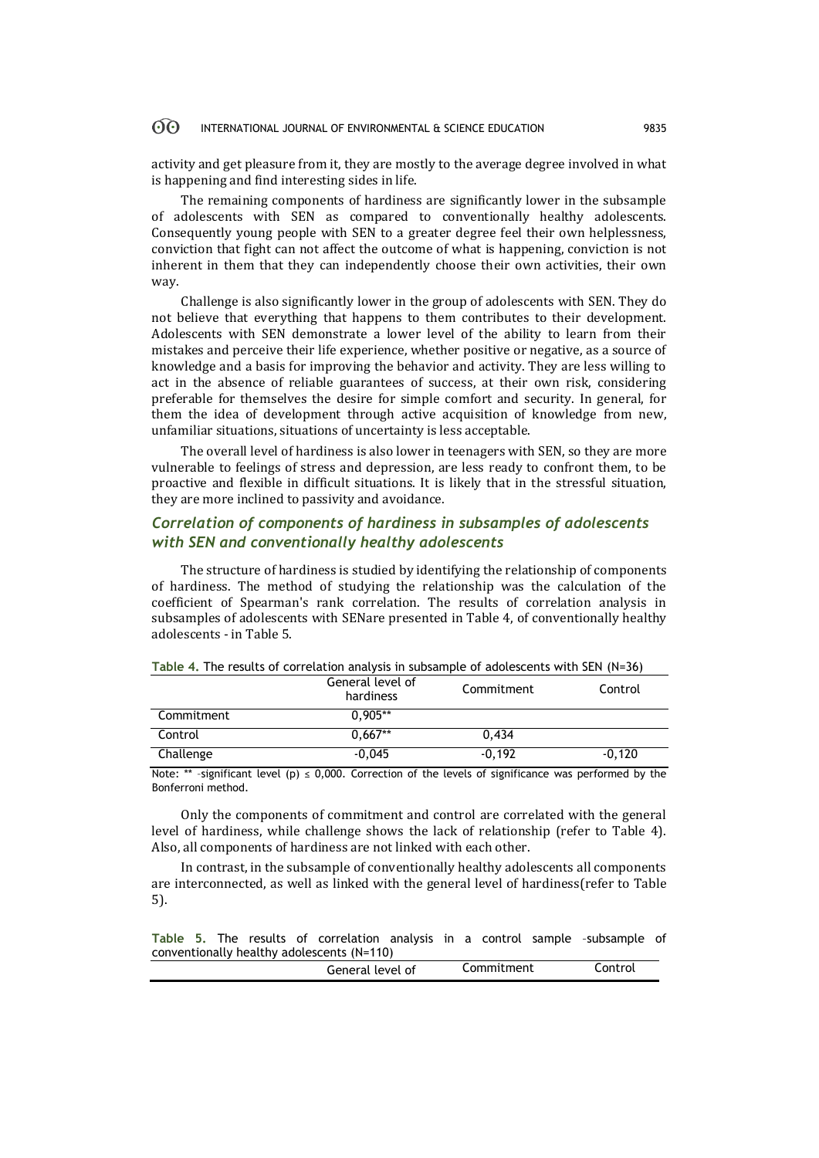#### 60 INTERNATIONAL JOURNAL OF ENVIRONMENTAL & SCIENCE EDUCATION 9835

activity and get pleasure from it, they are mostly to the average degree involved in what is happening and find interesting sides in life.

The remaining components of hardiness are significantly lower in the subsample of adolescents with SEN as compared to conventionally healthy adolescents. Consequently young people with SEN to a greater degree feel their own helplessness, conviction that fight can not affect the outcome of what is happening, conviction is not inherent in them that they can independently choose their own activities, their own way.

Challenge is also significantly lower in the group of adolescents with SEN. They do not believe that everything that happens to them contributes to their development. Adolescents with SEN demonstrate a lower level of the ability to learn from their mistakes and perceive their life experience, whether positive or negative, as a source of knowledge and a basis for improving the behavior and activity. They are less willing to act in the absence of reliable guarantees of success, at their own risk, considering preferable for themselves the desire for simple comfort and security. In general, for them the idea of development through active acquisition of knowledge from new, unfamiliar situations, situations of uncertainty is less acceptable.

The overall level of hardiness is also lower in teenagers with SEN, so they are more vulnerable to feelings of stress and depression, are less ready to confront them, to be proactive and flexible in difficult situations. It is likely that in the stressful situation, they are more inclined to passivity and avoidance.

## *Correlation of components of hardiness in subsamples of adolescents with SEN and conventionally healthy adolescents*

The structure of hardiness is studied by identifying the relationship of components of hardiness. The method of studying the relationship was the calculation of the coefficient of Spearman's rank correlation. The results of correlation analysis in subsamples of adolescents with SENare presented in Table 4, of conventionally healthy adolescents - in Table 5.

|            | General level of<br>hardiness | Commitment | Control  |
|------------|-------------------------------|------------|----------|
| Commitment | $0.905**$                     |            |          |
| Control    | $0.667**$                     | 0.434      |          |
| Challenge  | $-0.045$                      | $-0.192$   | $-0.120$ |

**Table 4.** The results of correlation analysis in subsample of adolescents with SEN (N=36)

Note: \*\* -significant level (p)  $\leq$  0,000. Correction of the levels of significance was performed by the Bonferroni method.

Only the components of commitment and control are correlated with the general level of hardiness, while challenge shows the lack of relationship (refer to Table 4). Also, all components of hardiness are not linked with each other.

In contrast, in the subsample of conventionally healthy adolescents all components are interconnected, as well as linked with the general level of hardiness(refer to Table 5).

**Table 5.** The results of correlation analysis in a control sample –subsample of conventionally healthy adolescents (N=110)

|  | General | level<br>0t | Commitment | Lontrol |
|--|---------|-------------|------------|---------|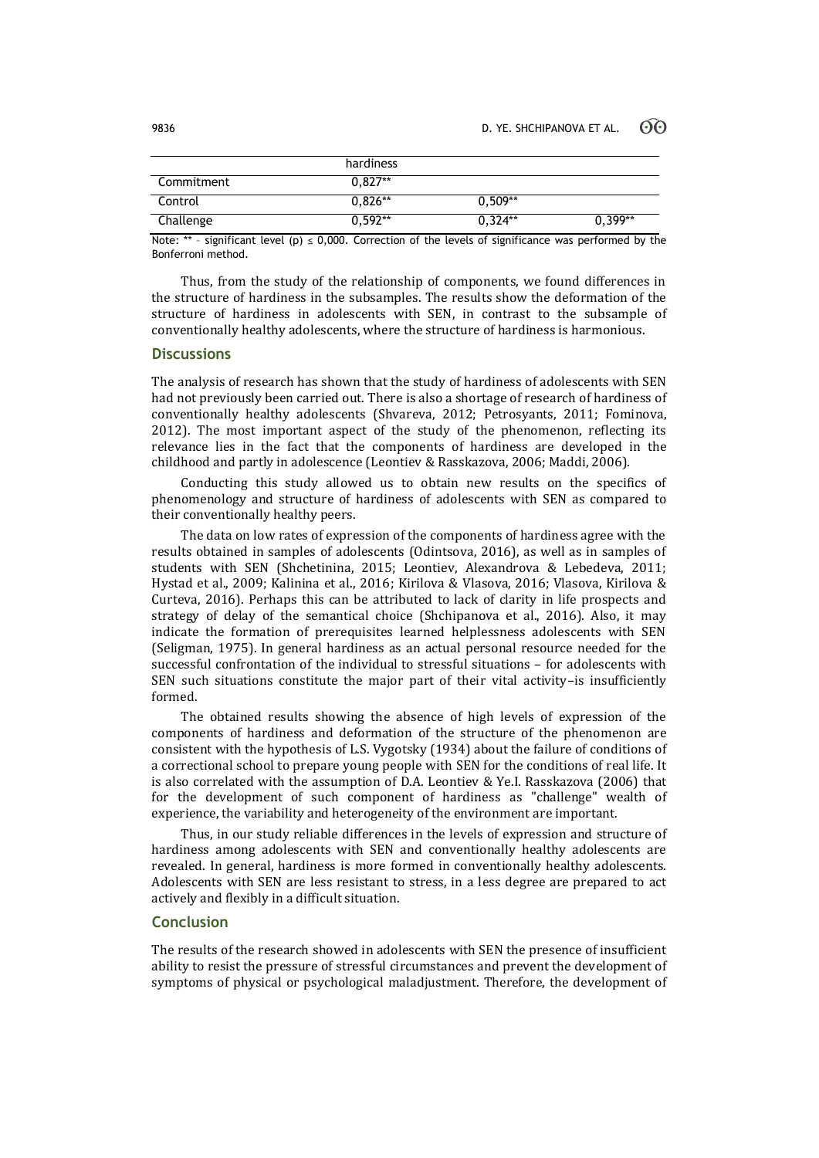|            | hardiness |           |           |
|------------|-----------|-----------|-----------|
| Commitment | $0.827**$ |           |           |
| Control    | $0.826**$ | $0.509**$ |           |
| Challenge  | $0.592**$ | $0.324**$ | $0.399**$ |

Note: \*\* - significant level (p)  $\leq$  0,000. Correction of the levels of significance was performed by the Bonferroni method.

Thus, from the study of the relationship of components, we found differences in the structure of hardiness in the subsamples. The results show the deformation of the structure of hardiness in adolescents with SEN, in contrast to the subsample of conventionally healthy adolescents, where the structure of hardiness is harmonious.

## **Discussions**

The analysis of research has shown that the study of hardiness of adolescents with SEN had not previously been carried out. There is also a shortage of research of hardiness of conventionally healthy adolescents (Shvareva, 2012; Petrosyants, 2011; Fominova, 2012). The most important aspect of the study of the phenomenon, reflecting its relevance lies in the fact that the components of hardiness are developed in the childhood and partly in adolescence (Leontiev & Rasskazova, 2006; Maddi, 2006).

Conducting this study allowed us to obtain new results on the specifics of phenomenology and structure of hardiness of adolescents with SEN as compared to their conventionally healthy peers.

The data on low rates of expression of the components of hardiness agree with the results obtained in samples of adolescents (Odintsova, 2016), as well as in samples of students with SEN (Shchetinina, 2015; Leontiev, Alexandrova & Lebedeva, 2011; Hystad et al., 2009; Kalinina et al., 2016; Kirilova & Vlasova, 2016; Vlasova, Kirilova & Curteva, 2016). Perhaps this can be attributed to lack of clarity in life prospects and strategy of delay of the semantical choice (Shchipanova et al., 2016). Also, it may indicate the formation of prerequisites learned helplessness adolescents with SEN (Seligman, 1975). In general hardiness as an actual personal resource needed for the successful confrontation of the individual to stressful situations – for adolescents with SEN such situations constitute the major part of their vital activity–is insufficiently formed.

The obtained results showing the absence of high levels of expression of the components of hardiness and deformation of the structure of the phenomenon are consistent with the hypothesis of L.S. Vygotsky (1934) about the failure of conditions of a correctional school to prepare young people with SEN for the conditions of real life. It is also correlated with the assumption of D.A. Leontiev & Ye.I. Rasskazova (2006) that for the development of such component of hardiness as "challenge" wealth of experience, the variability and heterogeneity of the environment are important.

Thus, in our study reliable differences in the levels of expression and structure of hardiness among adolescents with SEN and conventionally healthy adolescents are revealed. In general, hardiness is more formed in conventionally healthy adolescents. Adolescents with SEN are less resistant to stress, in a less degree are prepared to act actively and flexibly in a difficult situation.

## **Conclusion**

The results of the research showed in adolescents with SEN the presence of insufficient ability to resist the pressure of stressful circumstances and prevent the development of symptoms of physical or psychological maladjustment. Therefore, the development of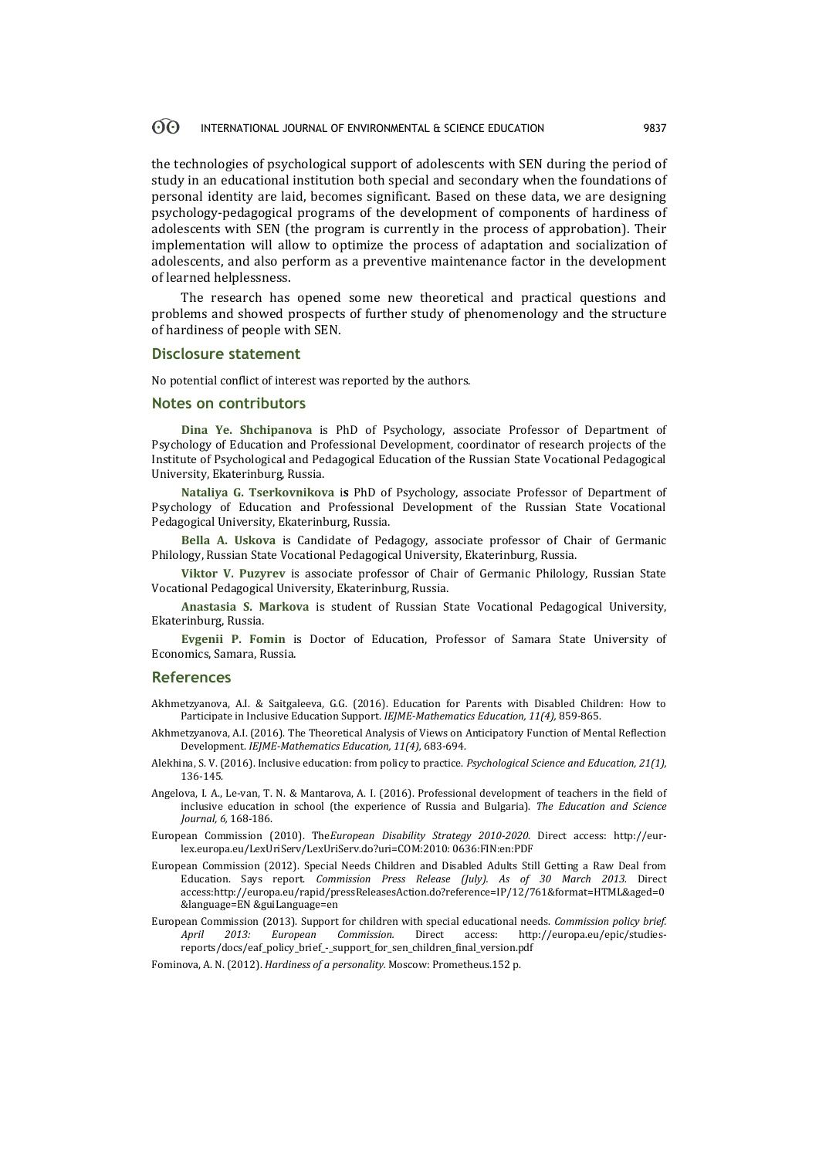#### 60 INTERNATIONAL JOURNAL OF ENVIRONMENTAL & SCIENCE EDUCATION 9837

the technologies of psychological support of adolescents with SEN during the period of study in an educational institution both special and secondary when the foundations of personal identity are laid, becomes significant. Based on these data, we are designing psychology-pedagogical programs of the development of components of hardiness of adolescents with SEN (the program is currently in the process of approbation). Their implementation will allow to optimize the process of adaptation and socialization of adolescents, and also perform as a preventive maintenance factor in the development of learned helplessness.

The research has opened some new theoretical and practical questions and problems and showed prospects of further study of phenomenology and the structure of hardiness of people with SEN.

### **Disclosure statement**

No potential conflict of interest was reported by the authors.

## **Notes on contributors**

**Dina Ye. Shchipanova** is PhD of Psychology, associate Professor of Department of Psychology of Education and Professional Development, coordinator of research projects of the Institute of Psychological and Pedagogical Education of the Russian State Vocational Pedagogical University, Ekaterinburg, Russia.

**Nataliya G. Tserkovnikova** i**s** PhD of Psychology, associate Professor of Department of Psychology of Education and Professional Development of the Russian State Vocational Pedagogical University, Ekaterinburg, Russia.

**Bella A. Uskova** is Candidate of Pedagogy, associate professor of Chair of Germanic Philology, Russian State Vocational Pedagogical University, Ekaterinburg, Russia.

**Viktor V. Puzyrev** is associate professor of Chair of Germanic Philology, Russian State Vocational Pedagogical University, Ekaterinburg, Russia.

**Anastasia S. Markova** is student of Russian State Vocational Pedagogical University, Ekaterinburg, Russia.

**Evgenii P. Fomin** is Doctor of Education, Professor of Samara State University of Economics, Samara, Russia.

### **References**

- Akhmetzyanova, A.I. & Saitgaleeva, G.G. (2016). Education for Parents with Disabled Children: How to Participate in Inclusive Education Support. *IEJME-Mathematics Education, 11(4),* 859-865.
- Akhmetzyanova, A.I. (2016). The Theoretical Analysis of Views on Anticipatory Function of Mental Reflection Development. *IEJME-Mathematics Education, 11(4),* 683-694.
- Alekhina, S. V. (2016). Inclusive education: from policy to practice. *Psychological Science and Education, 21(1),*  136-145.
- Angelova, I. А., Le-van, Т. N. & Маntаrоvа, А. I. (2016). Professional development of teachers in the field of inclusive education in school (the experience of Russia and Bulgaria). *The Education and Science Journal, 6,* 168-186.
- European Commission (2010). The*European Disability Strategy 2010-2020*. Direct access: http://eurlex.europa.eu/LexUriServ/LexUriServ.do?uri=COM:2010: 0636:FIN:en:PDF
- European Commission (2012). Special Needs Children and Disabled Adults Still Getting a Raw Deal from Education. Says report. *Commission Press Release (July). As of 30 March 2013.* Direct access:http://europa.eu/rapid/pressReleasesAction.do?reference=IP/12/761&format=HTML&aged=0 &language=EN &guiLanguage=en
- European Commission (2013). Support for children with special educational needs. *Commission policy brief. April 2013: European Commission.* Direct access: http://europa.eu/epic/studiesreports/docs/eaf\_policy\_brief\_-\_support\_for\_sen\_children\_final\_version.pdf

Fominova, А. N. (2012). *Hardiness of a personality.* Moscow: Prometheus.152 p.